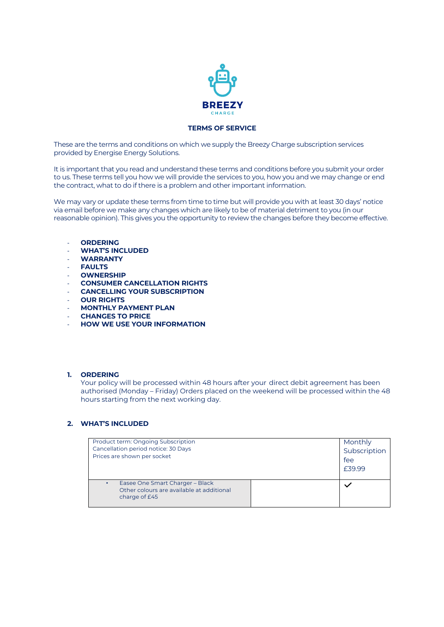

## **TERMS OF SERVICE**

These are the terms and conditions on which we supply the Breezy Charge subscription services provided by Energise Energy Solutions.

It is important that you read and understand these terms and conditions before you submit your order to us. These terms tell you how we will provide the services to you, how you and we may change or end the contract, what to do if there is a problem and other important information.

We may vary or update these terms from time to time but will provide you with at least 30 days' notice via email before we make any changes which are likely to be of material detriment to you (in our reasonable opinion). This gives you the opportunity to review the changes before they become effective.

- **ORDERING**
- **WHAT'S INCLUDED**
- **WARRANTY**
- **FAULTS**
- **OWNERSHIP**
- **CONSUMER CANCELLATION RIGHTS**
- **CANCELLING YOUR SUBSCRIPTION**
- **OUR RIGHTS**
- **MONTHLY PAYMENT PLAN**
- **CHANGES TO PRICE**
- **HOW WE USE YOUR INFORMATION**

#### **1. ORDERING**

Your policy will be processed within 48 hours after your direct debit agreement has been authorised (Monday – Friday) Orders placed on the weekend will be processed within the 48 hours starting from the next working day.

#### **2. WHAT'S INCLUDED**

| Product term: Ongoing Subscription<br>Cancellation period notice: 30 Days<br>Prices are shown per socket |  | Monthly<br>Subscription<br>fee<br>£39.99 |
|----------------------------------------------------------------------------------------------------------|--|------------------------------------------|
| Easee One Smart Charger - Black<br>Other colours are available at additional<br>charge of £45            |  |                                          |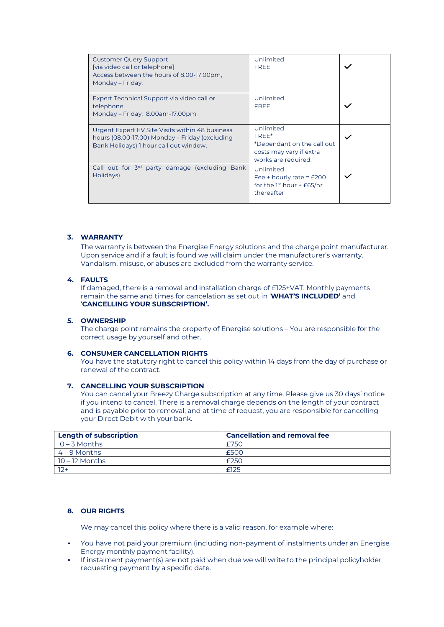| <b>Customer Query Support</b><br>[via video call or telephone]<br>Access between the hours of 8.00-17.00pm,<br>Monday – Friday.             | Unlimited<br><b>FREE</b>                                                                           |  |
|---------------------------------------------------------------------------------------------------------------------------------------------|----------------------------------------------------------------------------------------------------|--|
| Expert Technical Support via video call or<br>telephone.<br>Monday - Friday: 8.00am-17.00pm                                                 | Unlimited<br><b>FREE</b>                                                                           |  |
| Urgent Expert EV Site Visits within 48 business<br>hours (08.00-17.00) Monday – Friday (excluding<br>Bank Holidays) 1 hour call out window. | Unlimited<br>FREE*<br>*Dependant on the call out<br>costs may vary if extra<br>works are required. |  |
| Call out for 3 <sup>rd</sup> party damage (excluding Bank<br>Holidays)                                                                      | Unlimited<br>Fee + hourly rate = $£200$<br>for the 1 <sup>st</sup> hour $+$ £65/hr<br>thereafter   |  |

## **3. WARRANTY**

The warranty is between the Energise Energy solutions and the charge point manufacturer. Upon service and if a fault is found we will claim under the manufacturer's warranty. Vandalism, misuse, or abuses are excluded from the warranty service.

## **4. FAULTS**

If damaged, there is a removal and installation charge of £125+VAT. Monthly payments remain the same and times for cancelation as set out in '**WHAT'S INCLUDED'** and '**CANCELLING YOUR SUBSCRIPTION'.**

#### **5. OWNERSHIP**

The charge point remains the property of Energise solutions – You are responsible for the correct usage by yourself and other.

#### **6. CONSUMER CANCELLATION RIGHTS**

You have the statutory right to cancel this policy within 14 days from the day of purchase or renewal of the contract.

#### **7. CANCELLING YOUR SUBSCRIPTION**

You can cancel your Breezy Charge subscription at any time. Please give us 30 days' notice if you intend to cancel. There is a removal charge depends on the length of your contract and is payable prior to removal, and at time of request, you are responsible for cancelling your Direct Debit with your bank.

| <b>Length of subscription</b> | <b>Cancellation and removal fee</b> |
|-------------------------------|-------------------------------------|
| $0 - 3$ Months                | £750                                |
| $4 - 9$ Months                | £500                                |
| $10 - 12$ Months              | £250                                |
| $12+$                         | f125                                |

# **8. OUR RIGHTS**

We may cancel this policy where there is a valid reason, for example where:

- You have not paid your premium (including non-payment of instalments under an Energise Energy monthly payment facility).
- If instalment payment(s) are not paid when due we will write to the principal policyholder requesting payment by a specific date.